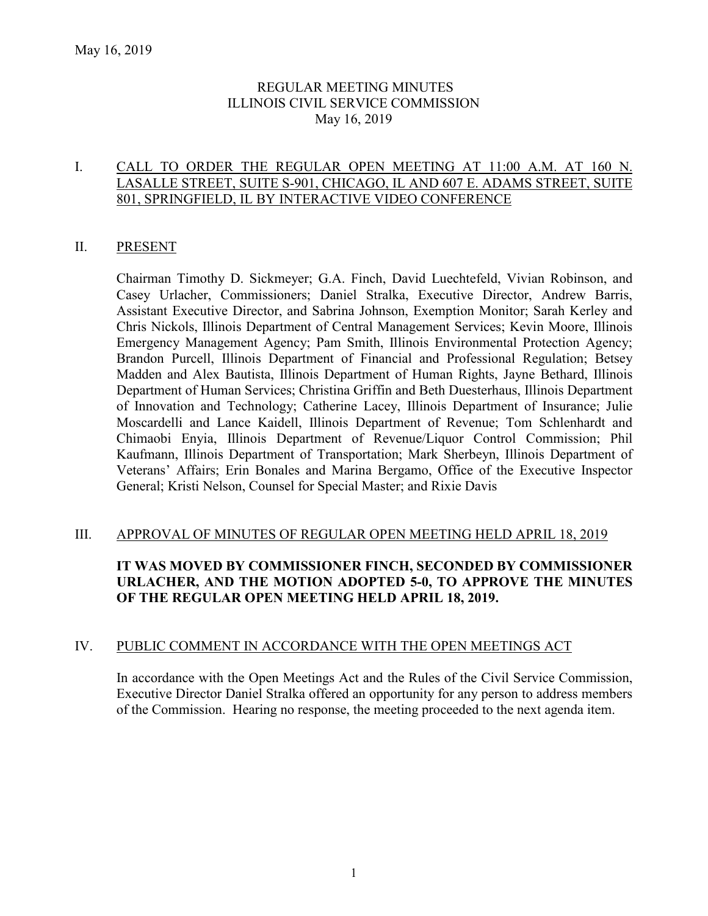# REGULAR MEETING MINUTES ILLINOIS CIVIL SERVICE COMMISSION May 16, 2019

### I. CALL TO ORDER THE REGULAR OPEN MEETING AT 11:00 A.M. AT 160 N. LASALLE STREET, SUITE S-901, CHICAGO, IL AND 607 E. ADAMS STREET, SUITE 801, SPRINGFIELD, IL BY INTERACTIVE VIDEO CONFERENCE

### II. PRESENT

Chairman Timothy D. Sickmeyer; G.A. Finch, David Luechtefeld, Vivian Robinson, and Casey Urlacher, Commissioners; Daniel Stralka, Executive Director, Andrew Barris, Assistant Executive Director, and Sabrina Johnson, Exemption Monitor; Sarah Kerley and Chris Nickols, Illinois Department of Central Management Services; Kevin Moore, Illinois Emergency Management Agency; Pam Smith, Illinois Environmental Protection Agency; Brandon Purcell, Illinois Department of Financial and Professional Regulation; Betsey Madden and Alex Bautista, Illinois Department of Human Rights, Jayne Bethard, Illinois Department of Human Services; Christina Griffin and Beth Duesterhaus, Illinois Department of Innovation and Technology; Catherine Lacey, Illinois Department of Insurance; Julie Moscardelli and Lance Kaidell, Illinois Department of Revenue; Tom Schlenhardt and Chimaobi Enyia, Illinois Department of Revenue/Liquor Control Commission; Phil Kaufmann, Illinois Department of Transportation; Mark Sherbeyn, Illinois Department of Veterans' Affairs; Erin Bonales and Marina Bergamo, Office of the Executive Inspector General; Kristi Nelson, Counsel for Special Master; and Rixie Davis

### III. APPROVAL OF MINUTES OF REGULAR OPEN MEETING HELD APRIL 18, 2019

# **IT WAS MOVED BY COMMISSIONER FINCH, SECONDED BY COMMISSIONER URLACHER, AND THE MOTION ADOPTED 5-0, TO APPROVE THE MINUTES OF THE REGULAR OPEN MEETING HELD APRIL 18, 2019.**

#### IV. PUBLIC COMMENT IN ACCORDANCE WITH THE OPEN MEETINGS ACT

In accordance with the Open Meetings Act and the Rules of the Civil Service Commission, Executive Director Daniel Stralka offered an opportunity for any person to address members of the Commission. Hearing no response, the meeting proceeded to the next agenda item.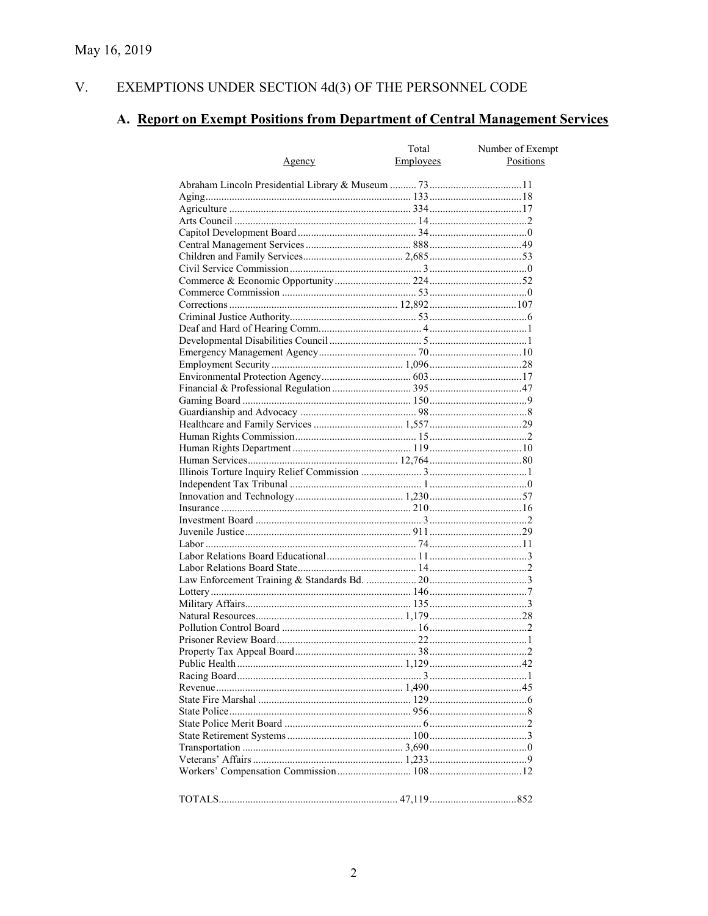#### V. EXEMPTIONS UNDER SECTION  $4d(3)$  OF THE PERSONNEL CODE

# A. Report on Exempt Positions from Department of Central Management Services

|               | Total     | Number of Exempt |
|---------------|-----------|------------------|
| <u>Agency</u> | Employees | Positions        |
|               |           |                  |
|               |           |                  |
|               |           |                  |
|               |           |                  |
|               |           |                  |
|               |           |                  |
|               |           |                  |
|               |           |                  |
|               |           |                  |
|               |           |                  |
|               |           |                  |
|               |           |                  |
|               |           |                  |
|               |           |                  |
|               |           |                  |
|               |           |                  |
|               |           |                  |
|               |           |                  |
|               |           |                  |
|               |           |                  |
|               |           |                  |
|               |           |                  |
|               |           |                  |
|               |           |                  |
|               |           |                  |
|               |           |                  |
|               |           |                  |
|               |           |                  |
|               |           |                  |
|               |           |                  |
|               |           |                  |
|               |           |                  |
|               |           |                  |
|               |           |                  |
|               |           |                  |
|               |           |                  |
|               |           |                  |
|               |           |                  |
|               |           |                  |
|               |           |                  |
|               |           |                  |
|               |           |                  |
|               |           |                  |
|               |           |                  |
|               |           |                  |
|               |           |                  |
|               |           |                  |
|               |           |                  |
|               |           |                  |
|               |           |                  |
|               |           |                  |
|               |           |                  |
|               |           |                  |
|               |           |                  |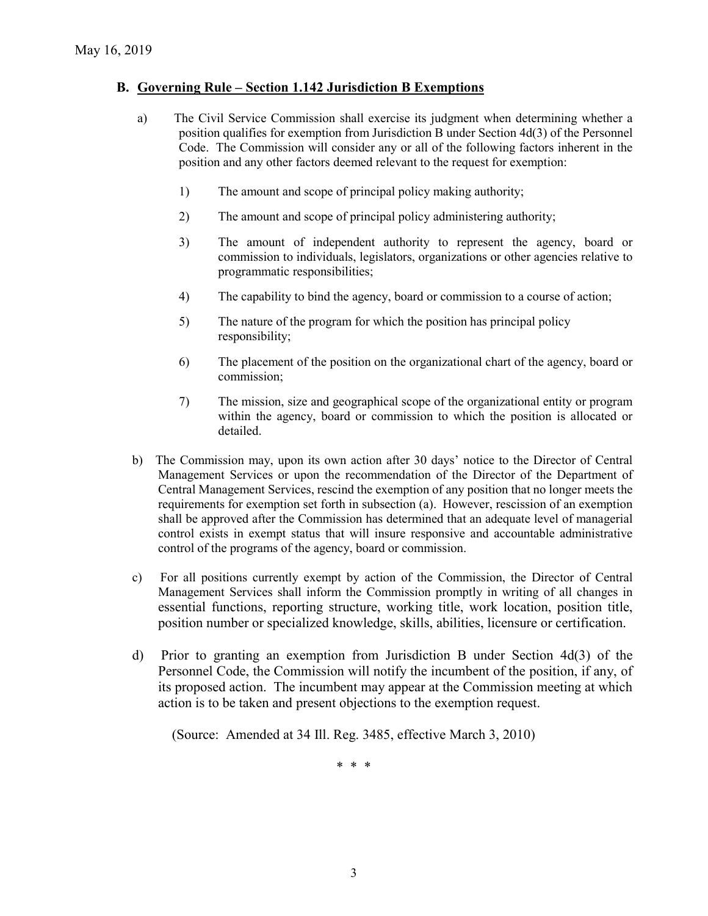### **B. Governing Rule – Section 1.142 Jurisdiction B Exemptions**

- a) The Civil Service Commission shall exercise its judgment when determining whether a position qualifies for exemption from Jurisdiction B under Section 4d(3) of the Personnel Code. The Commission will consider any or all of the following factors inherent in the position and any other factors deemed relevant to the request for exemption:
	- 1) The amount and scope of principal policy making authority;
	- 2) The amount and scope of principal policy administering authority;
	- 3) The amount of independent authority to represent the agency, board or commission to individuals, legislators, organizations or other agencies relative to programmatic responsibilities;
	- 4) The capability to bind the agency, board or commission to a course of action;
	- 5) The nature of the program for which the position has principal policy responsibility;
	- 6) The placement of the position on the organizational chart of the agency, board or commission;
	- 7) The mission, size and geographical scope of the organizational entity or program within the agency, board or commission to which the position is allocated or detailed.
- b) The Commission may, upon its own action after 30 days' notice to the Director of Central Management Services or upon the recommendation of the Director of the Department of Central Management Services, rescind the exemption of any position that no longer meets the requirements for exemption set forth in subsection (a). However, rescission of an exemption shall be approved after the Commission has determined that an adequate level of managerial control exists in exempt status that will insure responsive and accountable administrative control of the programs of the agency, board or commission.
- c) For all positions currently exempt by action of the Commission, the Director of Central Management Services shall inform the Commission promptly in writing of all changes in essential functions, reporting structure, working title, work location, position title, position number or specialized knowledge, skills, abilities, licensure or certification.
- d) Prior to granting an exemption from Jurisdiction B under Section 4d(3) of the Personnel Code, the Commission will notify the incumbent of the position, if any, of its proposed action. The incumbent may appear at the Commission meeting at which action is to be taken and present objections to the exemption request.

(Source: Amended at 34 Ill. Reg. 3485, effective March 3, 2010)

\* \* \*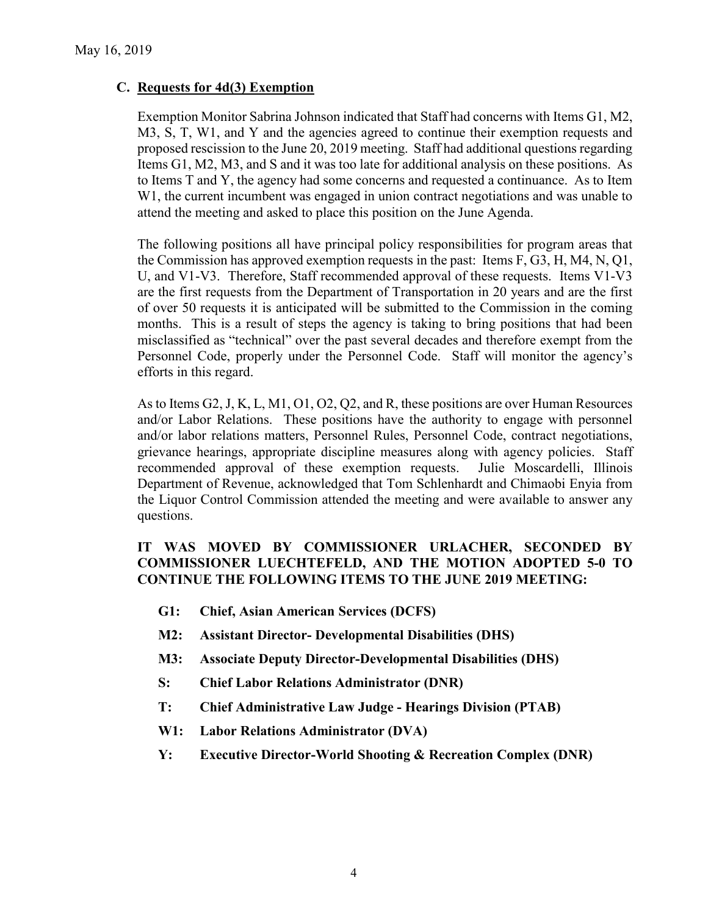### **C. Requests for 4d(3) Exemption**

Exemption Monitor Sabrina Johnson indicated that Staff had concerns with Items G1, M2, M3, S, T, W1, and Y and the agencies agreed to continue their exemption requests and proposed rescission to the June 20, 2019 meeting. Staff had additional questions regarding Items G1, M2, M3, and S and it was too late for additional analysis on these positions. As to Items T and Y, the agency had some concerns and requested a continuance. As to Item W1, the current incumbent was engaged in union contract negotiations and was unable to attend the meeting and asked to place this position on the June Agenda.

The following positions all have principal policy responsibilities for program areas that the Commission has approved exemption requests in the past: Items F, G3, H, M4, N, Q1, U, and V1-V3. Therefore, Staff recommended approval of these requests. Items V1-V3 are the first requests from the Department of Transportation in 20 years and are the first of over 50 requests it is anticipated will be submitted to the Commission in the coming months. This is a result of steps the agency is taking to bring positions that had been misclassified as "technical" over the past several decades and therefore exempt from the Personnel Code, properly under the Personnel Code. Staff will monitor the agency's efforts in this regard.

As to Items G2, J, K, L, M1, O1, O2, Q2, and R, these positions are over Human Resources and/or Labor Relations. These positions have the authority to engage with personnel and/or labor relations matters, Personnel Rules, Personnel Code, contract negotiations, grievance hearings, appropriate discipline measures along with agency policies. Staff recommended approval of these exemption requests. Julie Moscardelli, Illinois Department of Revenue, acknowledged that Tom Schlenhardt and Chimaobi Enyia from the Liquor Control Commission attended the meeting and were available to answer any questions.

# **IT WAS MOVED BY COMMISSIONER URLACHER, SECONDED BY COMMISSIONER LUECHTEFELD, AND THE MOTION ADOPTED 5-0 TO CONTINUE THE FOLLOWING ITEMS TO THE JUNE 2019 MEETING:**

- **G1: Chief, Asian American Services (DCFS)**
- **M2: Assistant Director- Developmental Disabilities (DHS)**
- **M3: Associate Deputy Director-Developmental Disabilities (DHS)**
- **S: Chief Labor Relations Administrator (DNR)**
- **T: Chief Administrative Law Judge - Hearings Division (PTAB)**
- **W1: Labor Relations Administrator (DVA)**
- **Y: Executive Director-World Shooting & Recreation Complex (DNR)**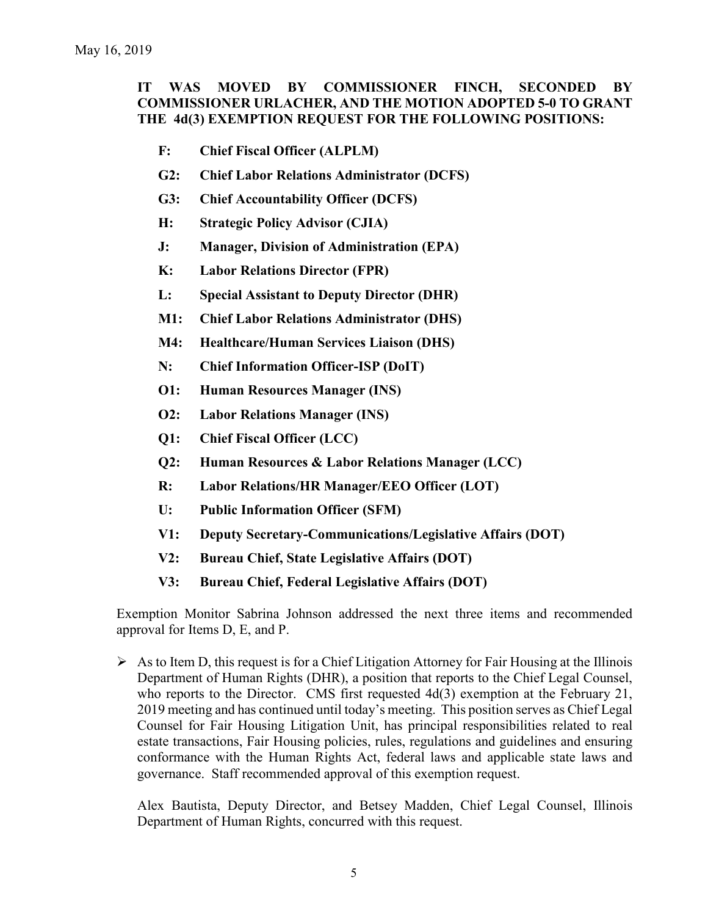# **IT WAS MOVED BY COMMISSIONER FINCH, SECONDED BY COMMISSIONER URLACHER, AND THE MOTION ADOPTED 5-0 TO GRANT THE 4d(3) EXEMPTION REQUEST FOR THE FOLLOWING POSITIONS:**

- **F: Chief Fiscal Officer (ALPLM)**
- **G2: Chief Labor Relations Administrator (DCFS)**
- **G3: Chief Accountability Officer (DCFS)**
- **H: Strategic Policy Advisor (CJIA)**
- **J: Manager, Division of Administration (EPA)**
- **K: Labor Relations Director (FPR)**
- **L: Special Assistant to Deputy Director (DHR)**
- **M1: Chief Labor Relations Administrator (DHS)**
- **M4: Healthcare/Human Services Liaison (DHS)**
- **N: Chief Information Officer-ISP (DoIT)**
- **O1: Human Resources Manager (INS)**
- **O2: Labor Relations Manager (INS)**
- **Q1: Chief Fiscal Officer (LCC)**
- **Q2: Human Resources & Labor Relations Manager (LCC)**
- **R: Labor Relations/HR Manager/EEO Officer (LOT)**
- **U: Public Information Officer (SFM)**
- **V1: Deputy Secretary-Communications/Legislative Affairs (DOT)**
- **V2: Bureau Chief, State Legislative Affairs (DOT)**
- **V3: Bureau Chief, Federal Legislative Affairs (DOT)**

Exemption Monitor Sabrina Johnson addressed the next three items and recommended approval for Items D, E, and P.

 $\triangleright$  As to Item D, this request is for a Chief Litigation Attorney for Fair Housing at the Illinois Department of Human Rights (DHR), a position that reports to the Chief Legal Counsel, who reports to the Director. CMS first requested 4d(3) exemption at the February 21, 2019 meeting and has continued until today's meeting. This position serves as Chief Legal Counsel for Fair Housing Litigation Unit, has principal responsibilities related to real estate transactions, Fair Housing policies, rules, regulations and guidelines and ensuring conformance with the Human Rights Act, federal laws and applicable state laws and governance. Staff recommended approval of this exemption request.

Alex Bautista, Deputy Director, and Betsey Madden, Chief Legal Counsel, Illinois Department of Human Rights, concurred with this request.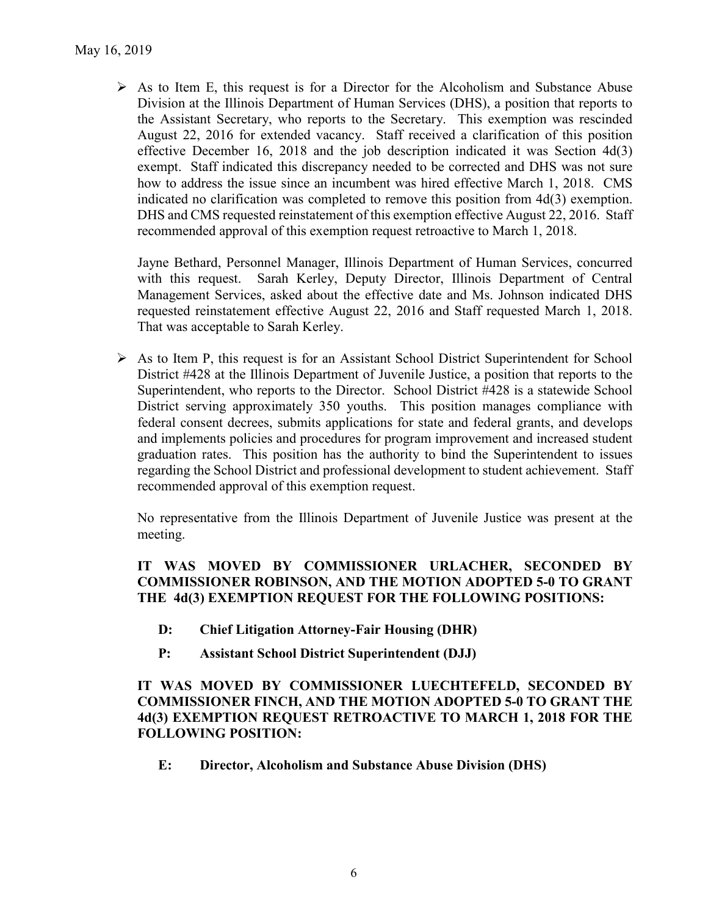$\triangleright$  As to Item E, this request is for a Director for the Alcoholism and Substance Abuse Division at the Illinois Department of Human Services (DHS), a position that reports to the Assistant Secretary, who reports to the Secretary. This exemption was rescinded August 22, 2016 for extended vacancy. Staff received a clarification of this position effective December 16, 2018 and the job description indicated it was Section 4d(3) exempt. Staff indicated this discrepancy needed to be corrected and DHS was not sure how to address the issue since an incumbent was hired effective March 1, 2018. CMS indicated no clarification was completed to remove this position from 4d(3) exemption. DHS and CMS requested reinstatement of this exemption effective August 22, 2016. Staff recommended approval of this exemption request retroactive to March 1, 2018.

Jayne Bethard, Personnel Manager, Illinois Department of Human Services, concurred with this request. Sarah Kerley, Deputy Director, Illinois Department of Central Management Services, asked about the effective date and Ms. Johnson indicated DHS requested reinstatement effective August 22, 2016 and Staff requested March 1, 2018. That was acceptable to Sarah Kerley.

 $\triangleright$  As to Item P, this request is for an Assistant School District Superintendent for School District #428 at the Illinois Department of Juvenile Justice, a position that reports to the Superintendent, who reports to the Director. School District #428 is a statewide School District serving approximately 350 youths. This position manages compliance with federal consent decrees, submits applications for state and federal grants, and develops and implements policies and procedures for program improvement and increased student graduation rates. This position has the authority to bind the Superintendent to issues regarding the School District and professional development to student achievement. Staff recommended approval of this exemption request.

No representative from the Illinois Department of Juvenile Justice was present at the meeting.

# **IT WAS MOVED BY COMMISSIONER URLACHER, SECONDED BY COMMISSIONER ROBINSON, AND THE MOTION ADOPTED 5-0 TO GRANT THE 4d(3) EXEMPTION REQUEST FOR THE FOLLOWING POSITIONS:**

- **D: Chief Litigation Attorney-Fair Housing (DHR)**
- **P: Assistant School District Superintendent (DJJ)**

**IT WAS MOVED BY COMMISSIONER LUECHTEFELD, SECONDED BY COMMISSIONER FINCH, AND THE MOTION ADOPTED 5-0 TO GRANT THE 4d(3) EXEMPTION REQUEST RETROACTIVE TO MARCH 1, 2018 FOR THE FOLLOWING POSITION:**

**E: Director, Alcoholism and Substance Abuse Division (DHS)**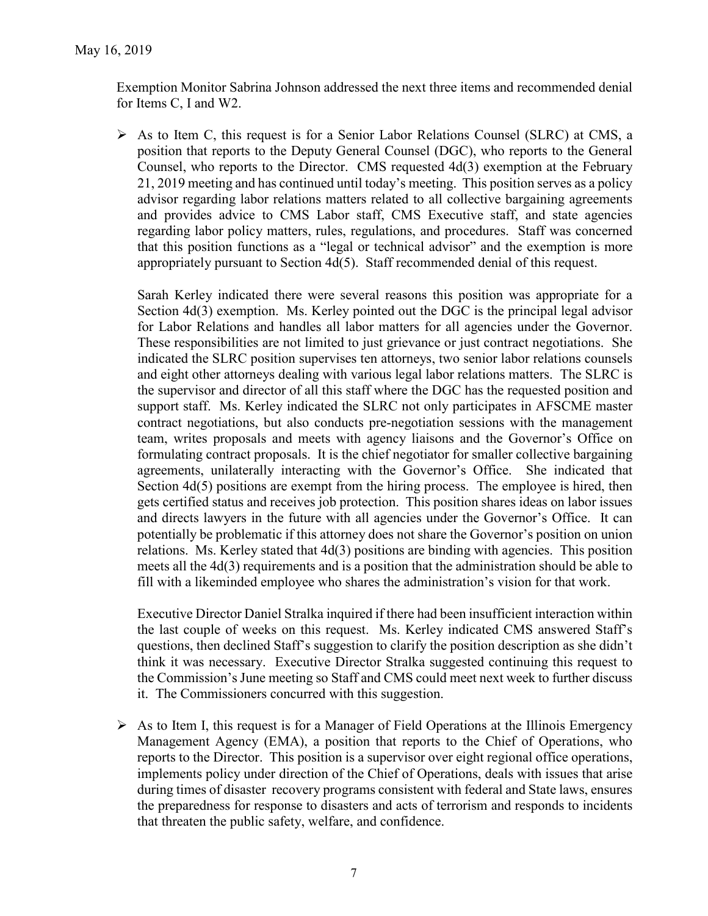Exemption Monitor Sabrina Johnson addressed the next three items and recommended denial for Items C, I and W2.

 $\triangleright$  As to Item C, this request is for a Senior Labor Relations Counsel (SLRC) at CMS, a position that reports to the Deputy General Counsel (DGC), who reports to the General Counsel, who reports to the Director. CMS requested 4d(3) exemption at the February 21, 2019 meeting and has continued until today's meeting. This position serves as a policy advisor regarding labor relations matters related to all collective bargaining agreements and provides advice to CMS Labor staff, CMS Executive staff, and state agencies regarding labor policy matters, rules, regulations, and procedures. Staff was concerned that this position functions as a "legal or technical advisor" and the exemption is more appropriately pursuant to Section 4d(5). Staff recommended denial of this request.

Sarah Kerley indicated there were several reasons this position was appropriate for a Section 4d(3) exemption. Ms. Kerley pointed out the DGC is the principal legal advisor for Labor Relations and handles all labor matters for all agencies under the Governor. These responsibilities are not limited to just grievance or just contract negotiations. She indicated the SLRC position supervises ten attorneys, two senior labor relations counsels and eight other attorneys dealing with various legal labor relations matters. The SLRC is the supervisor and director of all this staff where the DGC has the requested position and support staff. Ms. Kerley indicated the SLRC not only participates in AFSCME master contract negotiations, but also conducts pre-negotiation sessions with the management team, writes proposals and meets with agency liaisons and the Governor's Office on formulating contract proposals. It is the chief negotiator for smaller collective bargaining agreements, unilaterally interacting with the Governor's Office. She indicated that Section 4d(5) positions are exempt from the hiring process. The employee is hired, then gets certified status and receives job protection. This position shares ideas on labor issues and directs lawyers in the future with all agencies under the Governor's Office. It can potentially be problematic if this attorney does not share the Governor's position on union relations. Ms. Kerley stated that 4d(3) positions are binding with agencies. This position meets all the 4d(3) requirements and is a position that the administration should be able to fill with a likeminded employee who shares the administration's vision for that work.

Executive Director Daniel Stralka inquired if there had been insufficient interaction within the last couple of weeks on this request. Ms. Kerley indicated CMS answered Staff's questions, then declined Staff's suggestion to clarify the position description as she didn't think it was necessary. Executive Director Stralka suggested continuing this request to the Commission's June meeting so Staff and CMS could meet next week to further discuss it. The Commissioners concurred with this suggestion.

 $\triangleright$  As to Item I, this request is for a Manager of Field Operations at the Illinois Emergency Management Agency (EMA), a position that reports to the Chief of Operations, who reports to the Director. This position is a supervisor over eight regional office operations, implements policy under direction of the Chief of Operations, deals with issues that arise during times of disaster recovery programs consistent with federal and State laws, ensures the preparedness for response to disasters and acts of terrorism and responds to incidents that threaten the public safety, welfare, and confidence.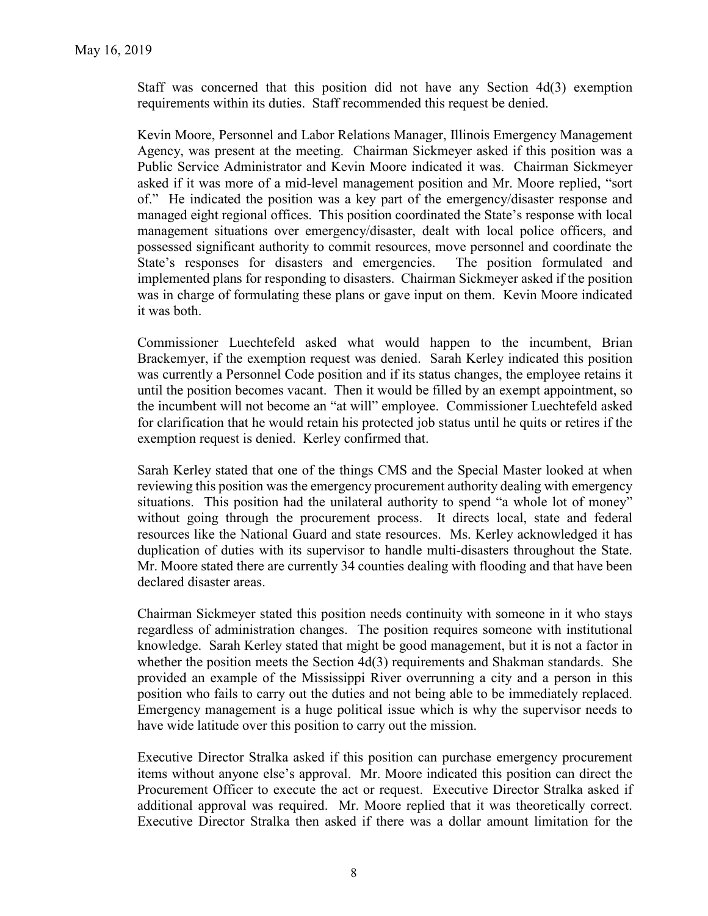Staff was concerned that this position did not have any Section 4d(3) exemption requirements within its duties. Staff recommended this request be denied.

Kevin Moore, Personnel and Labor Relations Manager, Illinois Emergency Management Agency, was present at the meeting. Chairman Sickmeyer asked if this position was a Public Service Administrator and Kevin Moore indicated it was. Chairman Sickmeyer asked if it was more of a mid-level management position and Mr. Moore replied, "sort of." He indicated the position was a key part of the emergency/disaster response and managed eight regional offices. This position coordinated the State's response with local management situations over emergency/disaster, dealt with local police officers, and possessed significant authority to commit resources, move personnel and coordinate the State's responses for disasters and emergencies. The position formulated and implemented plans for responding to disasters. Chairman Sickmeyer asked if the position was in charge of formulating these plans or gave input on them. Kevin Moore indicated it was both.

Commissioner Luechtefeld asked what would happen to the incumbent, Brian Brackemyer, if the exemption request was denied. Sarah Kerley indicated this position was currently a Personnel Code position and if its status changes, the employee retains it until the position becomes vacant. Then it would be filled by an exempt appointment, so the incumbent will not become an "at will" employee. Commissioner Luechtefeld asked for clarification that he would retain his protected job status until he quits or retires if the exemption request is denied. Kerley confirmed that.

Sarah Kerley stated that one of the things CMS and the Special Master looked at when reviewing this position was the emergency procurement authority dealing with emergency situations. This position had the unilateral authority to spend "a whole lot of money" without going through the procurement process. It directs local, state and federal resources like the National Guard and state resources. Ms. Kerley acknowledged it has duplication of duties with its supervisor to handle multi-disasters throughout the State. Mr. Moore stated there are currently 34 counties dealing with flooding and that have been declared disaster areas.

Chairman Sickmeyer stated this position needs continuity with someone in it who stays regardless of administration changes. The position requires someone with institutional knowledge. Sarah Kerley stated that might be good management, but it is not a factor in whether the position meets the Section 4d(3) requirements and Shakman standards. She provided an example of the Mississippi River overrunning a city and a person in this position who fails to carry out the duties and not being able to be immediately replaced. Emergency management is a huge political issue which is why the supervisor needs to have wide latitude over this position to carry out the mission.

Executive Director Stralka asked if this position can purchase emergency procurement items without anyone else's approval. Mr. Moore indicated this position can direct the Procurement Officer to execute the act or request. Executive Director Stralka asked if additional approval was required. Mr. Moore replied that it was theoretically correct. Executive Director Stralka then asked if there was a dollar amount limitation for the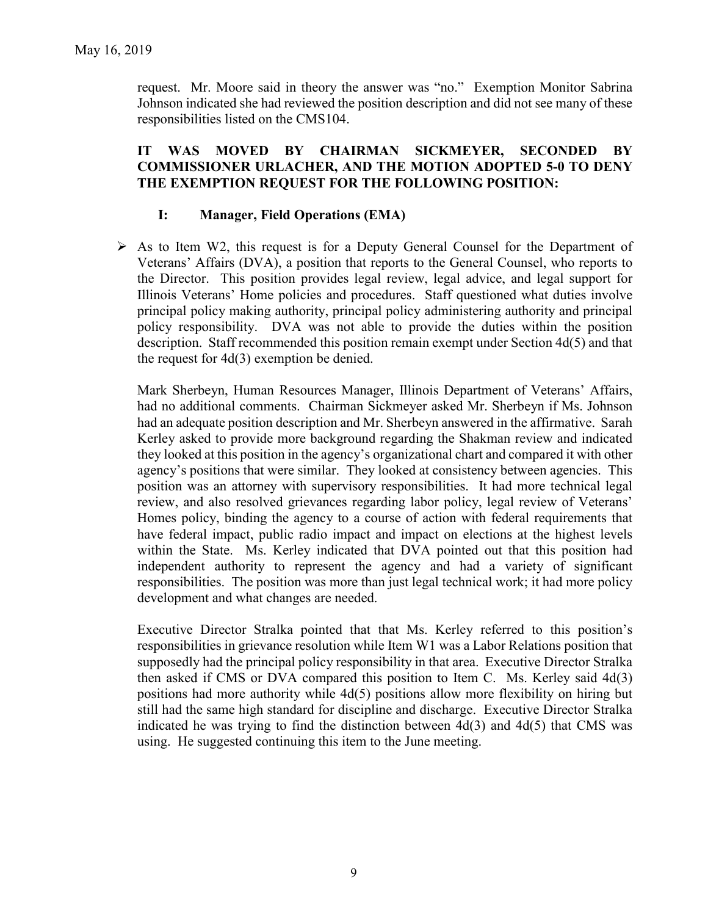request. Mr. Moore said in theory the answer was "no." Exemption Monitor Sabrina Johnson indicated she had reviewed the position description and did not see many of these responsibilities listed on the CMS104.

### **IT WAS MOVED BY CHAIRMAN SICKMEYER, SECONDED BY COMMISSIONER URLACHER, AND THE MOTION ADOPTED 5-0 TO DENY THE EXEMPTION REQUEST FOR THE FOLLOWING POSITION:**

### **I: Manager, Field Operations (EMA)**

 $\triangleright$  As to Item W2, this request is for a Deputy General Counsel for the Department of Veterans' Affairs (DVA), a position that reports to the General Counsel, who reports to the Director. This position provides legal review, legal advice, and legal support for Illinois Veterans' Home policies and procedures. Staff questioned what duties involve principal policy making authority, principal policy administering authority and principal policy responsibility. DVA was not able to provide the duties within the position description. Staff recommended this position remain exempt under Section 4d(5) and that the request for 4d(3) exemption be denied.

Mark Sherbeyn, Human Resources Manager, Illinois Department of Veterans' Affairs, had no additional comments. Chairman Sickmeyer asked Mr. Sherbeyn if Ms. Johnson had an adequate position description and Mr. Sherbeyn answered in the affirmative. Sarah Kerley asked to provide more background regarding the Shakman review and indicated they looked at this position in the agency's organizational chart and compared it with other agency's positions that were similar. They looked at consistency between agencies. This position was an attorney with supervisory responsibilities. It had more technical legal review, and also resolved grievances regarding labor policy, legal review of Veterans' Homes policy, binding the agency to a course of action with federal requirements that have federal impact, public radio impact and impact on elections at the highest levels within the State. Ms. Kerley indicated that DVA pointed out that this position had independent authority to represent the agency and had a variety of significant responsibilities. The position was more than just legal technical work; it had more policy development and what changes are needed.

Executive Director Stralka pointed that that Ms. Kerley referred to this position's responsibilities in grievance resolution while Item W1 was a Labor Relations position that supposedly had the principal policy responsibility in that area. Executive Director Stralka then asked if CMS or DVA compared this position to Item C. Ms. Kerley said 4d(3) positions had more authority while 4d(5) positions allow more flexibility on hiring but still had the same high standard for discipline and discharge. Executive Director Stralka indicated he was trying to find the distinction between 4d(3) and 4d(5) that CMS was using. He suggested continuing this item to the June meeting.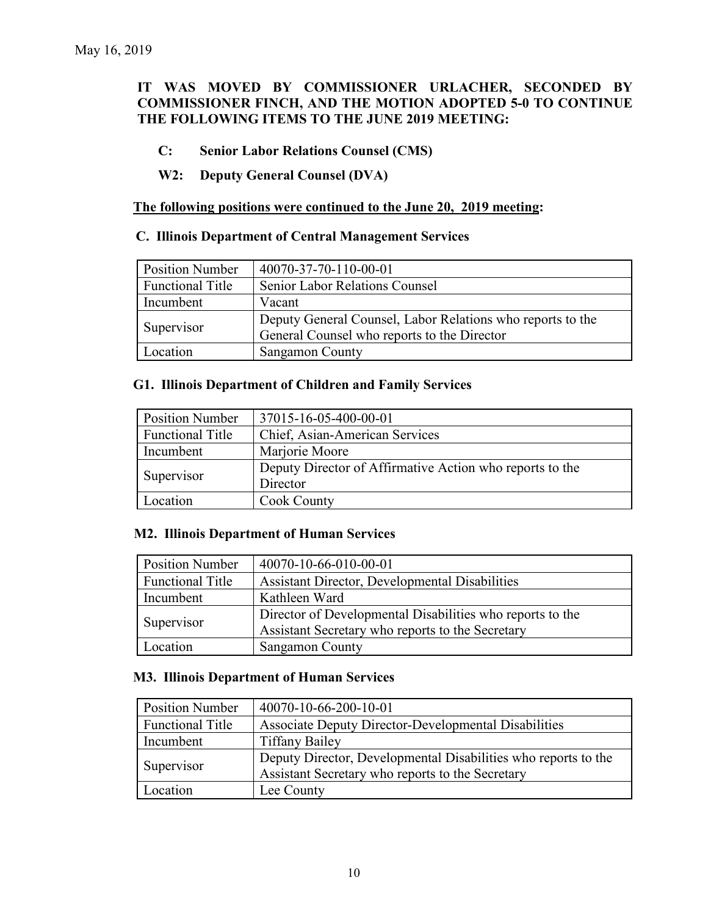# **IT WAS MOVED BY COMMISSIONER URLACHER, SECONDED BY COMMISSIONER FINCH, AND THE MOTION ADOPTED 5-0 TO CONTINUE THE FOLLOWING ITEMS TO THE JUNE 2019 MEETING:**

- **C: Senior Labor Relations Counsel (CMS)**
- **W2: Deputy General Counsel (DVA)**

#### **The following positions were continued to the June 20, 2019 meeting:**

#### **C. Illinois Department of Central Management Services**

| <b>Position Number</b>  | 40070-37-70-110-00-01                                      |
|-------------------------|------------------------------------------------------------|
| <b>Functional Title</b> | <b>Senior Labor Relations Counsel</b>                      |
| Incumbent               | Vacant                                                     |
| Supervisor              | Deputy General Counsel, Labor Relations who reports to the |
|                         | General Counsel who reports to the Director                |
| Location                | <b>Sangamon County</b>                                     |

#### **G1. Illinois Department of Children and Family Services**

| <b>Position Number</b>  | 37015-16-05-400-00-01                                    |
|-------------------------|----------------------------------------------------------|
| <b>Functional Title</b> | Chief, Asian-American Services                           |
| Incumbent               | Marjorie Moore                                           |
| Supervisor              | Deputy Director of Affirmative Action who reports to the |
|                         | Director                                                 |
| Location                | Cook County                                              |

### **M2. Illinois Department of Human Services**

| <b>Position Number</b>  | 40070-10-66-010-00-01                                                                                         |
|-------------------------|---------------------------------------------------------------------------------------------------------------|
| <b>Functional Title</b> | <b>Assistant Director, Developmental Disabilities</b>                                                         |
| Incumbent               | Kathleen Ward                                                                                                 |
| Supervisor              | Director of Developmental Disabilities who reports to the<br>Assistant Secretary who reports to the Secretary |
| Location                | <b>Sangamon County</b>                                                                                        |

### **M3. Illinois Department of Human Services**

| <b>Position Number</b>  | 40070-10-66-200-10-01                                          |
|-------------------------|----------------------------------------------------------------|
| <b>Functional Title</b> | Associate Deputy Director-Developmental Disabilities           |
| Incumbent               | <b>Tiffany Bailey</b>                                          |
| Supervisor              | Deputy Director, Developmental Disabilities who reports to the |
|                         | Assistant Secretary who reports to the Secretary               |
| Location                | Lee County                                                     |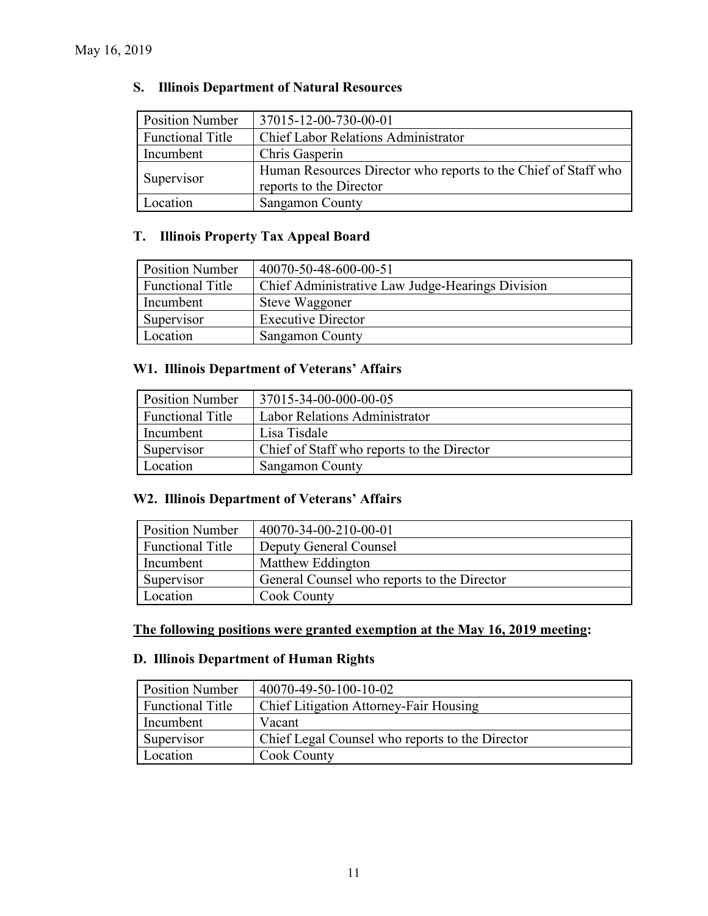# **S. Illinois Department of Natural Resources**

| <b>Position Number</b>  | 37015-12-00-730-00-01                                                                     |
|-------------------------|-------------------------------------------------------------------------------------------|
| <b>Functional Title</b> | <b>Chief Labor Relations Administrator</b>                                                |
| Incumbent               | Chris Gasperin                                                                            |
| Supervisor              | Human Resources Director who reports to the Chief of Staff who<br>reports to the Director |
| Location                | Sangamon County                                                                           |

# **T. Illinois Property Tax Appeal Board**

| <b>Position Number</b>  | 40070-50-48-600-00-51                            |
|-------------------------|--------------------------------------------------|
| <b>Functional Title</b> | Chief Administrative Law Judge-Hearings Division |
| Incumbent               | Steve Waggoner                                   |
| Supervisor              | <b>Executive Director</b>                        |
| Location                | <b>Sangamon County</b>                           |

### **W1. Illinois Department of Veterans' Affairs**

| <b>Position Number</b>  | 37015-34-00-000-00-05                      |
|-------------------------|--------------------------------------------|
| <b>Functional Title</b> | Labor Relations Administrator              |
| Incumbent               | Lisa Tisdale                               |
| Supervisor              | Chief of Staff who reports to the Director |
| Location                | <b>Sangamon County</b>                     |

# **W2. Illinois Department of Veterans' Affairs**

| <b>Position Number</b>  | 40070-34-00-210-00-01                       |
|-------------------------|---------------------------------------------|
| <b>Functional Title</b> | Deputy General Counsel                      |
| Incumbent               | Matthew Eddington                           |
| Supervisor              | General Counsel who reports to the Director |
| Location                | Cook County                                 |

### **The following positions were granted exemption at the May 16, 2019 meeting:**

### **D. Illinois Department of Human Rights**

| <b>Position Number</b>  | 40070-49-50-100-10-02                           |
|-------------------------|-------------------------------------------------|
| <b>Functional Title</b> | Chief Litigation Attorney-Fair Housing          |
| Incumbent               | Vacant                                          |
| Supervisor              | Chief Legal Counsel who reports to the Director |
| Location                | <b>Cook County</b>                              |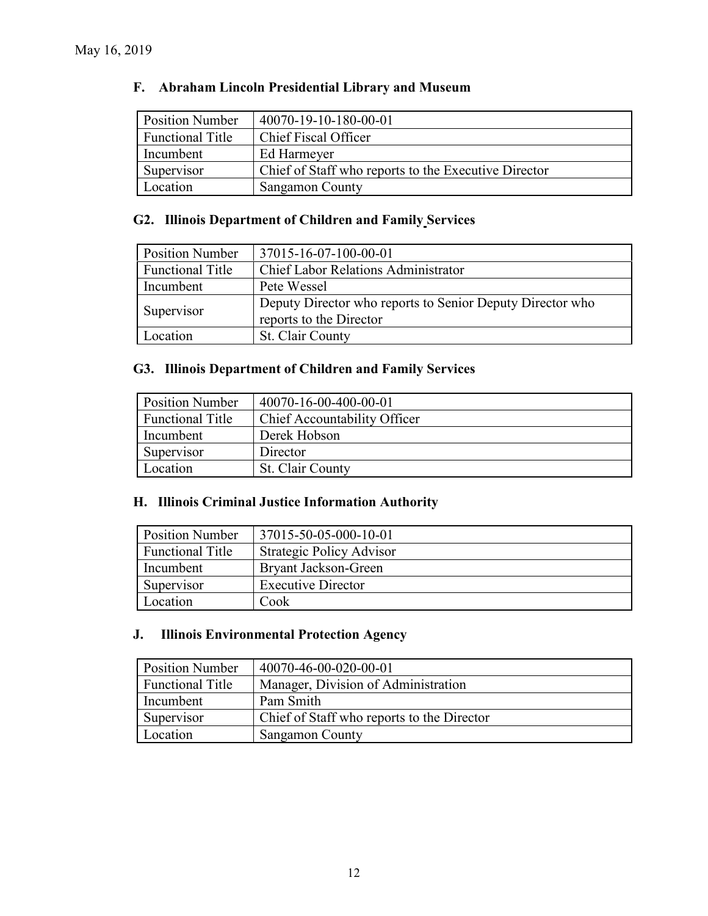# **F. Abraham Lincoln Presidential Library and Museum**

| <b>Position Number</b>  | 40070-19-10-180-00-01                                |
|-------------------------|------------------------------------------------------|
| <b>Functional Title</b> | Chief Fiscal Officer                                 |
| Incumbent               | Ed Harmeyer                                          |
| Supervisor              | Chief of Staff who reports to the Executive Director |
| Location                | Sangamon County                                      |

# **G2. Illinois Department of Children and Family Services**

| <b>Position Number</b>  | 37015-16-07-100-00-01                                                                |
|-------------------------|--------------------------------------------------------------------------------------|
| <b>Functional Title</b> | <b>Chief Labor Relations Administrator</b>                                           |
| Incumbent               | Pete Wessel                                                                          |
| Supervisor              | Deputy Director who reports to Senior Deputy Director who<br>reports to the Director |
| Location                | St. Clair County                                                                     |

# **G3. Illinois Department of Children and Family Services**

| <b>Position Number</b>  | 40070-16-00-400-00-01        |
|-------------------------|------------------------------|
| <b>Functional Title</b> | Chief Accountability Officer |
| Incumbent               | Derek Hobson                 |
| Supervisor              | Director                     |
| Location                | St. Clair County             |

### **H. Illinois Criminal Justice Information Authority**

| <b>Position Number</b>  | 37015-50-05-000-10-01     |
|-------------------------|---------------------------|
| <b>Functional Title</b> | Strategic Policy Advisor  |
| Incumbent               | Bryant Jackson-Green      |
| Supervisor              | <b>Executive Director</b> |
| Location                | Cook                      |

# **J. Illinois Environmental Protection Agency**

| <b>Position Number</b>  | 40070-46-00-020-00-01                      |
|-------------------------|--------------------------------------------|
| <b>Functional Title</b> | Manager, Division of Administration        |
| Incumbent               | Pam Smith                                  |
| Supervisor              | Chief of Staff who reports to the Director |
| Location                | <b>Sangamon County</b>                     |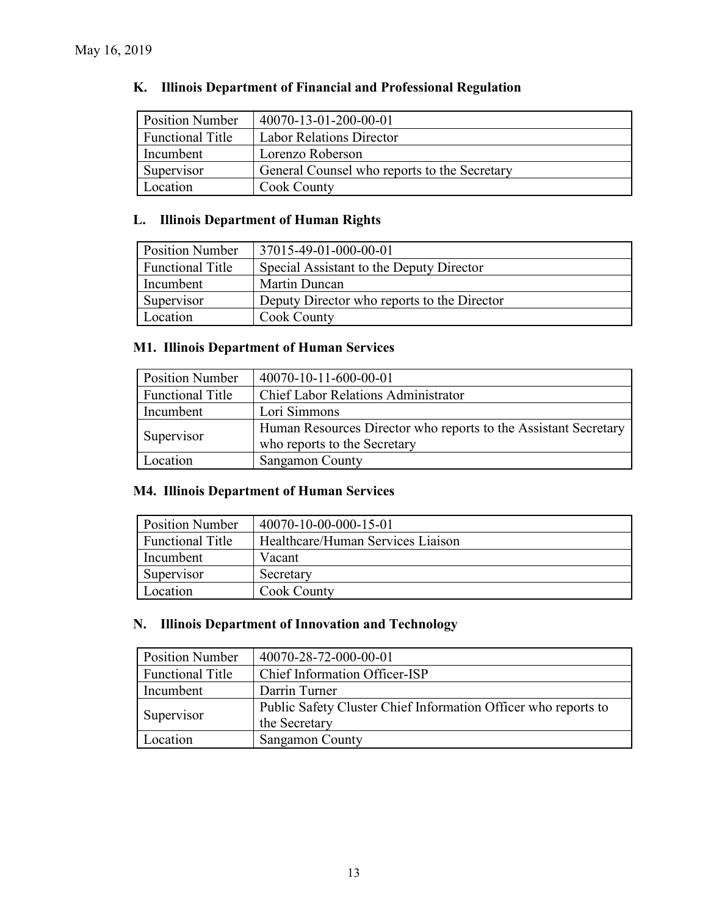| <b>Position Number</b>  | 40070-13-01-200-00-01                        |
|-------------------------|----------------------------------------------|
| <b>Functional Title</b> | <b>Labor Relations Director</b>              |
| Incumbent               | Lorenzo Roberson                             |
| Supervisor              | General Counsel who reports to the Secretary |
| Location                | Cook County                                  |

# **K. Illinois Department of Financial and Professional Regulation**

# **L. Illinois Department of Human Rights**

| <b>Position Number</b>  | 37015-49-01-000-00-01                       |
|-------------------------|---------------------------------------------|
| <b>Functional Title</b> | Special Assistant to the Deputy Director    |
| Incumbent               | Martin Duncan                               |
| Supervisor              | Deputy Director who reports to the Director |
| Location                | <b>Cook County</b>                          |

# **M1. Illinois Department of Human Services**

| <b>Position Number</b>  | 40070-10-11-600-00-01                                                                           |
|-------------------------|-------------------------------------------------------------------------------------------------|
| <b>Functional Title</b> | <b>Chief Labor Relations Administrator</b>                                                      |
| Incumbent               | Lori Simmons                                                                                    |
| Supervisor              | Human Resources Director who reports to the Assistant Secretary<br>who reports to the Secretary |
|                         |                                                                                                 |
| Location                | Sangamon County                                                                                 |

# **M4. Illinois Department of Human Services**

| <b>Position Number</b>  | 40070-10-00-000-15-01             |
|-------------------------|-----------------------------------|
| <b>Functional Title</b> | Healthcare/Human Services Liaison |
| Incumbent               | Vacant                            |
| Supervisor              | Secretary                         |
| Location                | <b>Cook County</b>                |

### **N. Illinois Department of Innovation and Technology**

| <b>Position Number</b>  | 40070-28-72-000-00-01                                          |
|-------------------------|----------------------------------------------------------------|
| <b>Functional Title</b> | Chief Information Officer-ISP                                  |
| Incumbent               | Darrin Turner                                                  |
| Supervisor              | Public Safety Cluster Chief Information Officer who reports to |
|                         | the Secretary                                                  |
| Location                | Sangamon County                                                |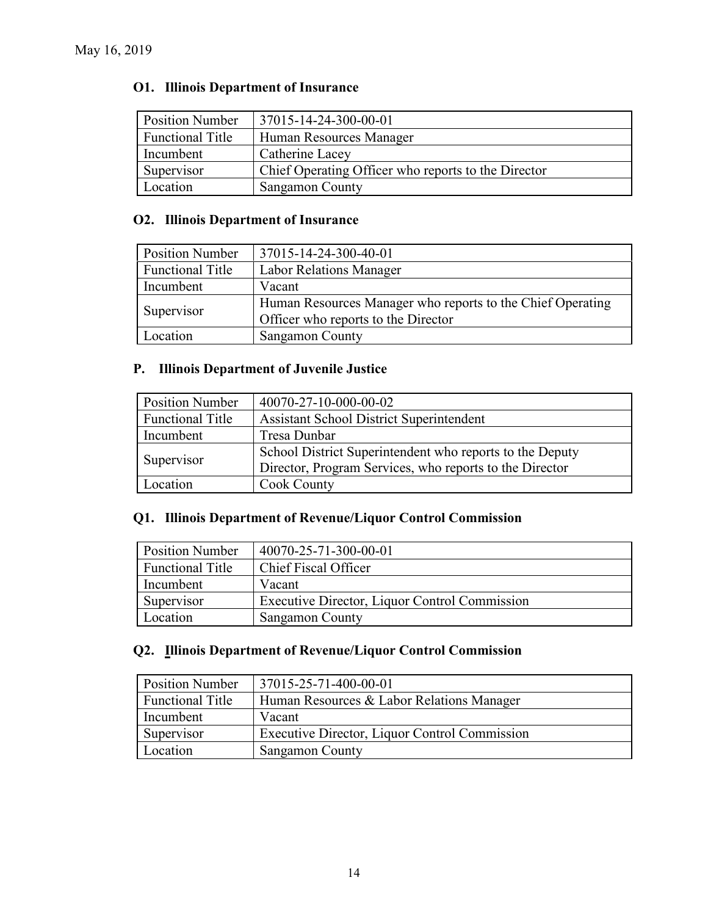# **O1. Illinois Department of Insurance**

| <b>Position Number</b>  | 37015-14-24-300-00-01                               |
|-------------------------|-----------------------------------------------------|
| <b>Functional Title</b> | Human Resources Manager                             |
| Incumbent               | Catherine Lacey                                     |
| Supervisor              | Chief Operating Officer who reports to the Director |
| Location                | Sangamon County                                     |

# **O2. Illinois Department of Insurance**

| <b>Position Number</b>  | 37015-14-24-300-40-01                                      |
|-------------------------|------------------------------------------------------------|
| <b>Functional Title</b> | <b>Labor Relations Manager</b>                             |
| Incumbent               | Vacant                                                     |
| Supervisor              | Human Resources Manager who reports to the Chief Operating |
|                         | Officer who reports to the Director                        |
| Location                | Sangamon County                                            |

# **P. Illinois Department of Juvenile Justice**

| <b>Position Number</b>  | 40070-27-10-000-00-02                                    |
|-------------------------|----------------------------------------------------------|
| <b>Functional Title</b> | <b>Assistant School District Superintendent</b>          |
| Incumbent               | Tresa Dunbar                                             |
| Supervisor              | School District Superintendent who reports to the Deputy |
|                         | Director, Program Services, who reports to the Director  |
| Location                | <b>Cook County</b>                                       |

# **Q1. Illinois Department of Revenue/Liquor Control Commission**

| <b>Position Number</b>  | 40070-25-71-300-00-01                         |
|-------------------------|-----------------------------------------------|
| <b>Functional Title</b> | Chief Fiscal Officer                          |
| Incumbent               | Vacant                                        |
| Supervisor              | Executive Director, Liquor Control Commission |
| Location                | Sangamon County                               |

# **Q2. Illinois Department of Revenue/Liquor Control Commission**

| <b>Position Number</b>  | 37015-25-71-400-00-01                         |
|-------------------------|-----------------------------------------------|
| <b>Functional Title</b> | Human Resources & Labor Relations Manager     |
| Incumbent               | Vacant                                        |
| Supervisor              | Executive Director, Liquor Control Commission |
| Location                | Sangamon County                               |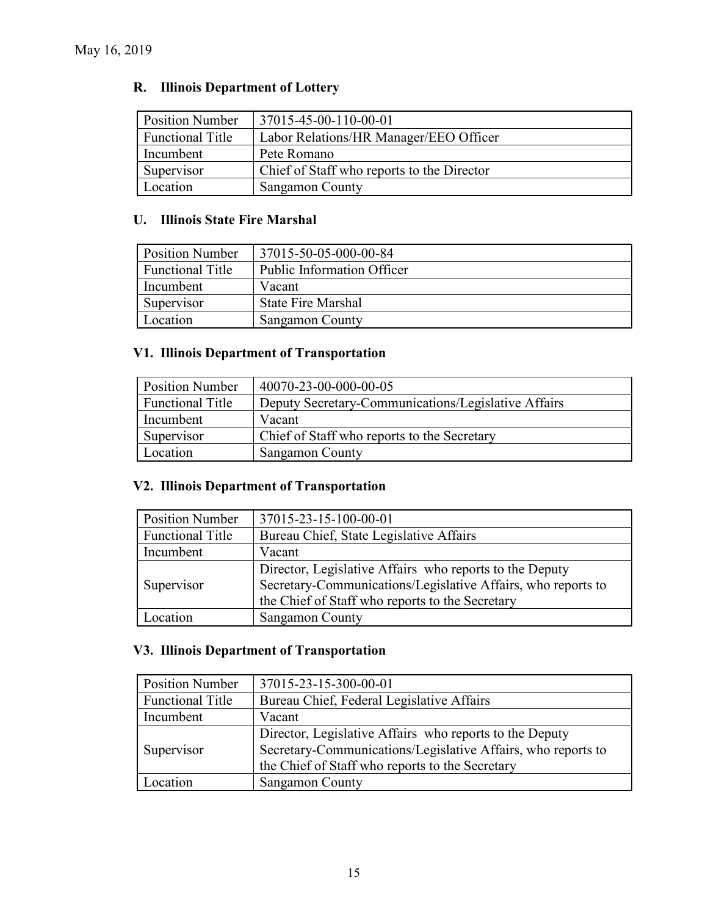# **R. Illinois Department of Lottery**

| <b>Position Number</b>  | 37015-45-00-110-00-01                      |
|-------------------------|--------------------------------------------|
| <b>Functional Title</b> | Labor Relations/HR Manager/EEO Officer     |
| Incumbent               | Pete Romano                                |
| Supervisor              | Chief of Staff who reports to the Director |
| Location                | <b>Sangamon County</b>                     |

# **U. Illinois State Fire Marshal**

| <b>Position Number</b>  | 37015-50-05-000-00-84      |
|-------------------------|----------------------------|
| <b>Functional Title</b> | Public Information Officer |
| Incumbent               | Vacant                     |
| Supervisor              | <b>State Fire Marshal</b>  |
| Location                | Sangamon County            |

# **V1. Illinois Department of Transportation**

| <b>Position Number</b>  | 40070-23-00-000-00-05                               |
|-------------------------|-----------------------------------------------------|
| <b>Functional Title</b> | Deputy Secretary-Communications/Legislative Affairs |
| Incumbent               | Vacant                                              |
| Supervisor              | Chief of Staff who reports to the Secretary         |
| Location                | Sangamon County                                     |

# **V2. Illinois Department of Transportation**

| <b>Position Number</b>  | 37015-23-15-100-00-01                                        |  |
|-------------------------|--------------------------------------------------------------|--|
| <b>Functional Title</b> | Bureau Chief, State Legislative Affairs                      |  |
| Incumbent               | Vacant                                                       |  |
|                         | Director, Legislative Affairs who reports to the Deputy      |  |
| Supervisor              | Secretary-Communications/Legislative Affairs, who reports to |  |
|                         | the Chief of Staff who reports to the Secretary              |  |
| Location                | Sangamon County                                              |  |

# **V3. Illinois Department of Transportation**

| <b>Position Number</b><br>37015-23-15-300-00-01                      |                                                              |
|----------------------------------------------------------------------|--------------------------------------------------------------|
| <b>Functional Title</b><br>Bureau Chief, Federal Legislative Affairs |                                                              |
| Incumbent                                                            | Vacant                                                       |
|                                                                      | Director, Legislative Affairs who reports to the Deputy      |
| Supervisor                                                           | Secretary-Communications/Legislative Affairs, who reports to |
|                                                                      | the Chief of Staff who reports to the Secretary              |
| ocation                                                              | Sangamon County                                              |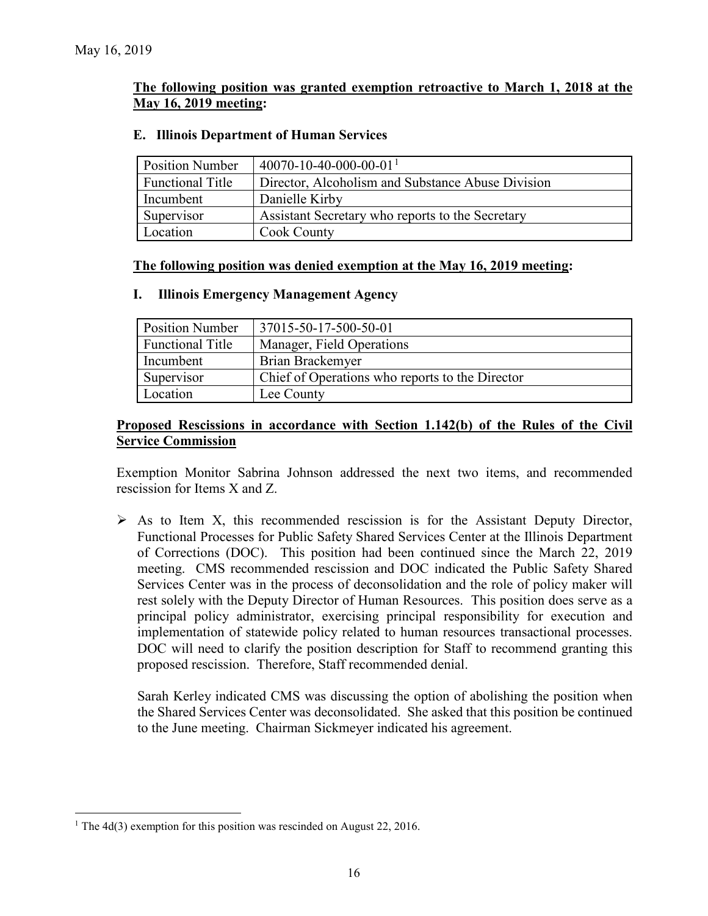### **The following position was granted exemption retroactive to March 1, 2018 at the May 16, 2019 meeting:**

### **E. Illinois Department of Human Services**

| <b>Position Number</b>  | 40070-10-40-000-00-01 <sup>1</sup>                |
|-------------------------|---------------------------------------------------|
| <b>Functional Title</b> | Director, Alcoholism and Substance Abuse Division |
| Incumbent               | Danielle Kirby                                    |
| Supervisor              | Assistant Secretary who reports to the Secretary  |
| Location                | <b>Cook County</b>                                |

### **The following position was denied exemption at the May 16, 2019 meeting:**

#### **I. Illinois Emergency Management Agency**

| <b>Position Number</b>  | 37015-50-17-500-50-01                           |
|-------------------------|-------------------------------------------------|
| <b>Functional Title</b> | Manager, Field Operations                       |
| Incumbent               | Brian Brackemyer                                |
| Supervisor              | Chief of Operations who reports to the Director |
| Location                | Lee County                                      |

### **Proposed Rescissions in accordance with Section 1.142(b) of the Rules of the Civil Service Commission**

Exemption Monitor Sabrina Johnson addressed the next two items, and recommended rescission for Items X and Z.

 $\triangleright$  As to Item X, this recommended rescission is for the Assistant Deputy Director, Functional Processes for Public Safety Shared Services Center at the Illinois Department of Corrections (DOC). This position had been continued since the March 22, 2019 meeting. CMS recommended rescission and DOC indicated the Public Safety Shared Services Center was in the process of deconsolidation and the role of policy maker will rest solely with the Deputy Director of Human Resources. This position does serve as a principal policy administrator, exercising principal responsibility for execution and implementation of statewide policy related to human resources transactional processes. DOC will need to clarify the position description for Staff to recommend granting this proposed rescission. Therefore, Staff recommended denial.

Sarah Kerley indicated CMS was discussing the option of abolishing the position when the Shared Services Center was deconsolidated. She asked that this position be continued to the June meeting. Chairman Sickmeyer indicated his agreement.

<span id="page-15-0"></span><sup>&</sup>lt;sup>1</sup> The 4d(3) exemption for this position was rescinded on August 22, 2016.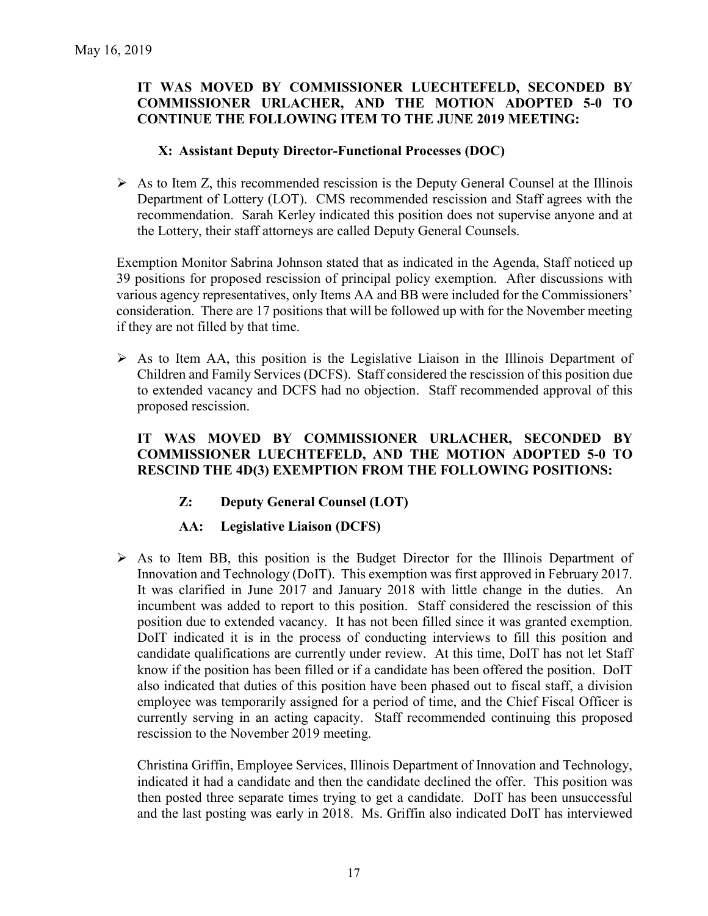# **IT WAS MOVED BY COMMISSIONER LUECHTEFELD, SECONDED BY COMMISSIONER URLACHER, AND THE MOTION ADOPTED 5-0 TO CONTINUE THE FOLLOWING ITEM TO THE JUNE 2019 MEETING:**

### **X: Assistant Deputy Director-Functional Processes (DOC)**

 $\triangleright$  As to Item Z, this recommended rescission is the Deputy General Counsel at the Illinois Department of Lottery (LOT). CMS recommended rescission and Staff agrees with the recommendation. Sarah Kerley indicated this position does not supervise anyone and at the Lottery, their staff attorneys are called Deputy General Counsels.

Exemption Monitor Sabrina Johnson stated that as indicated in the Agenda, Staff noticed up 39 positions for proposed rescission of principal policy exemption. After discussions with various agency representatives, only Items AA and BB were included for the Commissioners' consideration. There are 17 positions that will be followed up with for the November meeting if they are not filled by that time.

 $\triangleright$  As to Item AA, this position is the Legislative Liaison in the Illinois Department of Children and Family Services (DCFS). Staff considered the rescission of this position due to extended vacancy and DCFS had no objection. Staff recommended approval of this proposed rescission.

### **IT WAS MOVED BY COMMISSIONER URLACHER, SECONDED BY COMMISSIONER LUECHTEFELD, AND THE MOTION ADOPTED 5-0 TO RESCIND THE 4D(3) EXEMPTION FROM THE FOLLOWING POSITIONS:**

- **Z: Deputy General Counsel (LOT)**
- **AA: Legislative Liaison (DCFS)**
- $\triangleright$  As to Item BB, this position is the Budget Director for the Illinois Department of Innovation and Technology (DoIT). This exemption was first approved in February 2017. It was clarified in June 2017 and January 2018 with little change in the duties. An incumbent was added to report to this position. Staff considered the rescission of this position due to extended vacancy. It has not been filled since it was granted exemption. DoIT indicated it is in the process of conducting interviews to fill this position and candidate qualifications are currently under review. At this time, DoIT has not let Staff know if the position has been filled or if a candidate has been offered the position. DoIT also indicated that duties of this position have been phased out to fiscal staff, a division employee was temporarily assigned for a period of time, and the Chief Fiscal Officer is currently serving in an acting capacity. Staff recommended continuing this proposed rescission to the November 2019 meeting.

Christina Griffin, Employee Services, Illinois Department of Innovation and Technology, indicated it had a candidate and then the candidate declined the offer. This position was then posted three separate times trying to get a candidate. DoIT has been unsuccessful and the last posting was early in 2018. Ms. Griffin also indicated DoIT has interviewed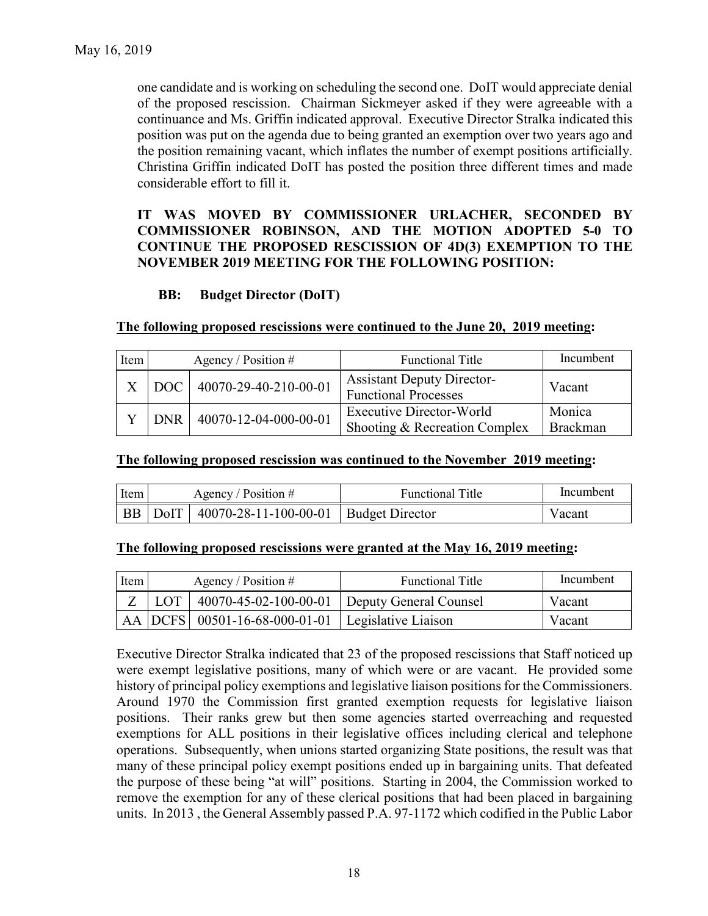one candidate and is working on scheduling the second one. DoIT would appreciate denial of the proposed rescission. Chairman Sickmeyer asked if they were agreeable with a continuance and Ms. Griffin indicated approval. Executive Director Stralka indicated this position was put on the agenda due to being granted an exemption over two years ago and the position remaining vacant, which inflates the number of exempt positions artificially. Christina Griffin indicated DoIT has posted the position three different times and made considerable effort to fill it.

### **IT WAS MOVED BY COMMISSIONER URLACHER, SECONDED BY COMMISSIONER ROBINSON, AND THE MOTION ADOPTED 5-0 TO CONTINUE THE PROPOSED RESCISSION OF 4D(3) EXEMPTION TO THE NOVEMBER 2019 MEETING FOR THE FOLLOWING POSITION:**

# **BB: Budget Director (DoIT)**

### **The following proposed rescissions were continued to the June 20, 2019 meeting:**

| Item | Agency / Position $#$ |                       | <b>Functional Title</b>                                          | Incumbent                 |
|------|-----------------------|-----------------------|------------------------------------------------------------------|---------------------------|
|      | DOC                   | 40070-29-40-210-00-01 | <b>Assistant Deputy Director-</b><br><b>Functional Processes</b> | Vacant                    |
|      | <b>DNR</b>            | 40070-12-04-000-00-01 | Executive Director-World<br>Shooting & Recreation Complex        | Monica<br><b>Brackman</b> |

#### **The following proposed rescission was continued to the November 2019 meeting:**

| Item | Agency / Position $#$ |                                                     | <b>Functional Title</b> | Incumbent |
|------|-----------------------|-----------------------------------------------------|-------------------------|-----------|
|      |                       | BB   DoIT   40070-28-11-100-00-01   Budget Director |                         | Vacant    |

#### **The following proposed rescissions were granted at the May 16, 2019 meeting:**

| Item | Agency / Position $#$ |                                                            | <b>Functional Title</b> |        |
|------|-----------------------|------------------------------------------------------------|-------------------------|--------|
|      |                       | $Z$   LOT   40070-45-02-100-00-01   Deputy General Counsel |                         | Vacant |
|      |                       | AA   DCFS   00501-16-68-000-01-01   Legislative Liaison    |                         | Vacant |

Executive Director Stralka indicated that 23 of the proposed rescissions that Staff noticed up were exempt legislative positions, many of which were or are vacant. He provided some history of principal policy exemptions and legislative liaison positions for the Commissioners. Around 1970 the Commission first granted exemption requests for legislative liaison positions. Their ranks grew but then some agencies started overreaching and requested exemptions for ALL positions in their legislative offices including clerical and telephone operations. Subsequently, when unions started organizing State positions, the result was that many of these principal policy exempt positions ended up in bargaining units. That defeated the purpose of these being "at will" positions. Starting in 2004, the Commission worked to remove the exemption for any of these clerical positions that had been placed in bargaining units. In 2013 , the General Assembly passed P.A. 97-1172 which codified in the Public Labor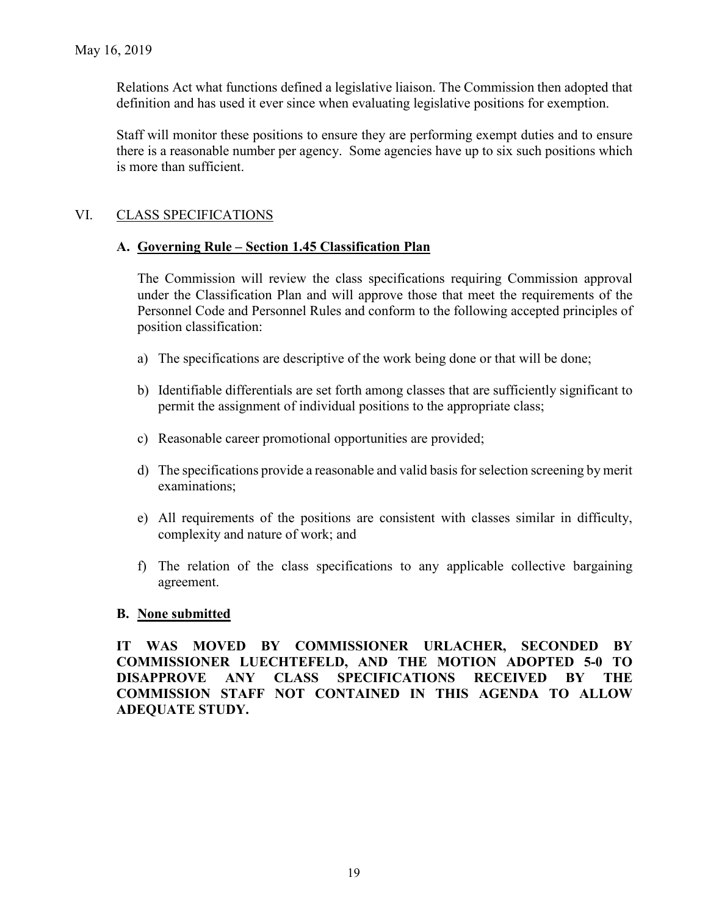Relations Act what functions defined a legislative liaison. The Commission then adopted that definition and has used it ever since when evaluating legislative positions for exemption.

Staff will monitor these positions to ensure they are performing exempt duties and to ensure there is a reasonable number per agency. Some agencies have up to six such positions which is more than sufficient.

# VI. CLASS SPECIFICATIONS

### **A. Governing Rule – Section 1.45 Classification Plan**

The Commission will review the class specifications requiring Commission approval under the Classification Plan and will approve those that meet the requirements of the Personnel Code and Personnel Rules and conform to the following accepted principles of position classification:

- a) The specifications are descriptive of the work being done or that will be done;
- b) Identifiable differentials are set forth among classes that are sufficiently significant to permit the assignment of individual positions to the appropriate class;
- c) Reasonable career promotional opportunities are provided;
- d) The specifications provide a reasonable and valid basis for selection screening by merit examinations;
- e) All requirements of the positions are consistent with classes similar in difficulty, complexity and nature of work; and
- f) The relation of the class specifications to any applicable collective bargaining agreement.

### **B. None submitted**

**IT WAS MOVED BY COMMISSIONER URLACHER, SECONDED BY COMMISSIONER LUECHTEFELD, AND THE MOTION ADOPTED 5-0 TO DISAPPROVE ANY CLASS SPECIFICATIONS RECEIVED BY THE COMMISSION STAFF NOT CONTAINED IN THIS AGENDA TO ALLOW ADEQUATE STUDY.**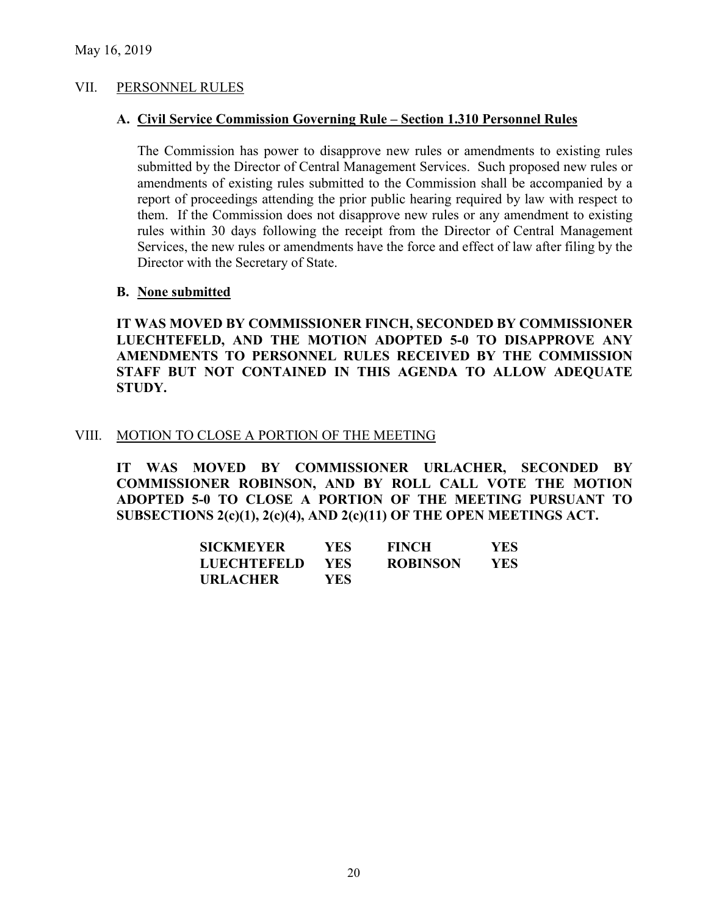### VII. PERSONNEL RULES

### **A. Civil Service Commission Governing Rule – Section 1.310 Personnel Rules**

The Commission has power to disapprove new rules or amendments to existing rules submitted by the Director of Central Management Services. Such proposed new rules or amendments of existing rules submitted to the Commission shall be accompanied by a report of proceedings attending the prior public hearing required by law with respect to them. If the Commission does not disapprove new rules or any amendment to existing rules within 30 days following the receipt from the Director of Central Management Services, the new rules or amendments have the force and effect of law after filing by the Director with the Secretary of State.

### **B. None submitted**

**IT WAS MOVED BY COMMISSIONER FINCH, SECONDED BY COMMISSIONER LUECHTEFELD, AND THE MOTION ADOPTED 5-0 TO DISAPPROVE ANY AMENDMENTS TO PERSONNEL RULES RECEIVED BY THE COMMISSION STAFF BUT NOT CONTAINED IN THIS AGENDA TO ALLOW ADEQUATE STUDY.** 

### VIII. MOTION TO CLOSE A PORTION OF THE MEETING

**IT WAS MOVED BY COMMISSIONER URLACHER, SECONDED BY COMMISSIONER ROBINSON, AND BY ROLL CALL VOTE THE MOTION ADOPTED 5-0 TO CLOSE A PORTION OF THE MEETING PURSUANT TO SUBSECTIONS 2(c)(1), 2(c)(4), AND 2(c)(11) OF THE OPEN MEETINGS ACT.**

| <b>SICKMEYER</b>   | YES.       | <b>FINCH</b>    | YES. |
|--------------------|------------|-----------------|------|
| <b>LUECHTEFELD</b> | <b>YES</b> | <b>ROBINSON</b> | YES. |
| <b>URLACHER</b>    | YES.       |                 |      |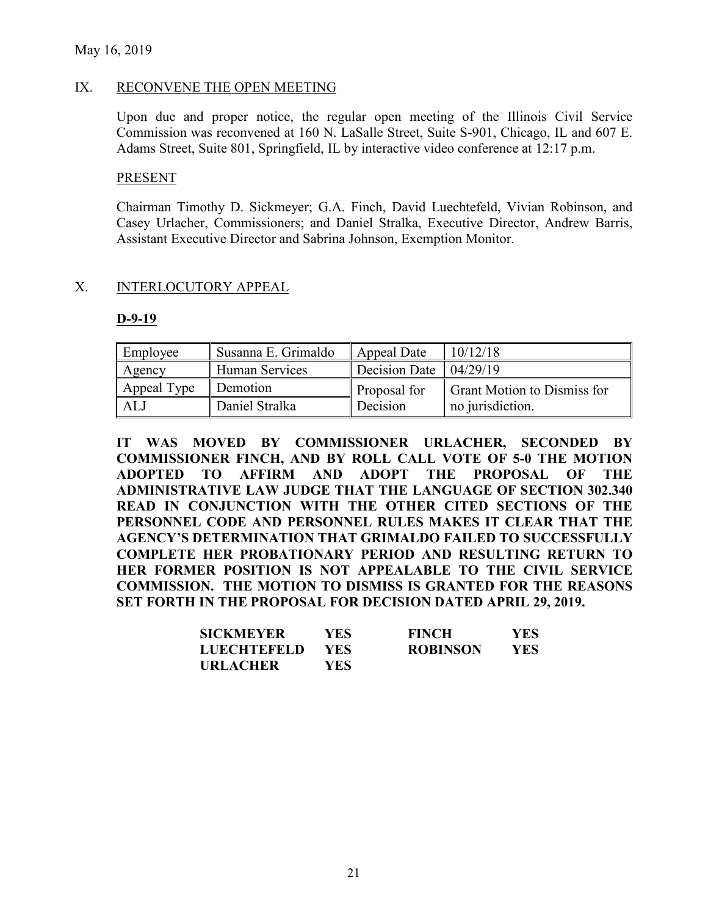### May 16, 2019

### IX. RECONVENE THE OPEN MEETING

Upon due and proper notice, the regular open meeting of the Illinois Civil Service Commission was reconvened at 160 N. LaSalle Street, Suite S-901, Chicago, IL and 607 E. Adams Street, Suite 801, Springfield, IL by interactive video conference at 12:17 p.m.

#### **PRESENT**

Chairman Timothy D. Sickmeyer; G.A. Finch, David Luechtefeld, Vivian Robinson, and Casey Urlacher, Commissioners; and Daniel Stralka, Executive Director, Andrew Barris, Assistant Executive Director and Sabrina Johnson, Exemption Monitor.

### X. INTERLOCUTORY APPEAL

#### **D-9-19**

| Employee    | Susanna E. Grimaldo | Appeal Date                          | 10/12/18                           |
|-------------|---------------------|--------------------------------------|------------------------------------|
| Agency      | Human Services      | Decision Date $\vert 04/29/19 \vert$ |                                    |
| Appeal Type | Demotion            | Proposal for                         | <b>Grant Motion to Dismiss for</b> |
| AL J        | Daniel Stralka      | Decision                             | no jurisdiction.                   |

**IT WAS MOVED BY COMMISSIONER URLACHER, SECONDED BY COMMISSIONER FINCH, AND BY ROLL CALL VOTE OF 5-0 THE MOTION ADOPTED TO AFFIRM AND ADOPT THE PROPOSAL OF THE ADMINISTRATIVE LAW JUDGE THAT THE LANGUAGE OF SECTION 302.340 READ IN CONJUNCTION WITH THE OTHER CITED SECTIONS OF THE PERSONNEL CODE AND PERSONNEL RULES MAKES IT CLEAR THAT THE AGENCY'S DETERMINATION THAT GRIMALDO FAILED TO SUCCESSFULLY COMPLETE HER PROBATIONARY PERIOD AND RESULTING RETURN TO HER FORMER POSITION IS NOT APPEALABLE TO THE CIVIL SERVICE COMMISSION. THE MOTION TO DISMISS IS GRANTED FOR THE REASONS SET FORTH IN THE PROPOSAL FOR DECISION DATED APRIL 29, 2019.**

| <b>SICKMEYER</b> | YES- | <b>FINCH</b>    | <b>YES</b> |
|------------------|------|-----------------|------------|
| LUECHTEFELD      | YES. | <b>ROBINSON</b> | YES.       |
| <b>URLACHER</b>  | YES. |                 |            |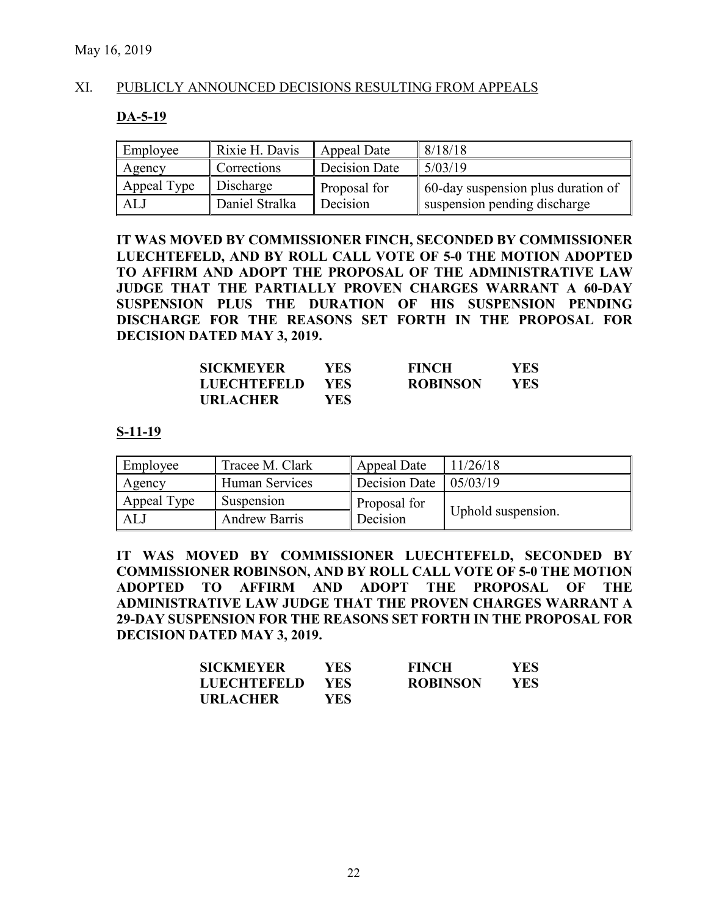### XI. PUBLICLY ANNOUNCED DECISIONS RESULTING FROM APPEALS

#### **DA-5-19**

| Employee    | Rixie H. Davis | Appeal Date   | 8/18/18                            |
|-------------|----------------|---------------|------------------------------------|
| Agency      | Corrections    | Decision Date | 5/03/19                            |
| Appeal Type | Discharge      | Proposal for  | 60-day suspension plus duration of |
| ALJ         | Daniel Stralka | Decision      | suspension pending discharge       |

**IT WAS MOVED BY COMMISSIONER FINCH, SECONDED BY COMMISSIONER LUECHTEFELD, AND BY ROLL CALL VOTE OF 5-0 THE MOTION ADOPTED TO AFFIRM AND ADOPT THE PROPOSAL OF THE ADMINISTRATIVE LAW JUDGE THAT THE PARTIALLY PROVEN CHARGES WARRANT A 60-DAY SUSPENSION PLUS THE DURATION OF HIS SUSPENSION PENDING DISCHARGE FOR THE REASONS SET FORTH IN THE PROPOSAL FOR DECISION DATED MAY 3, 2019.**

| <b>SICKMEYER</b>   | YES. | <b>FINCH</b>    | YES  |
|--------------------|------|-----------------|------|
| <b>LUECHTEFELD</b> | YES. | <b>ROBINSON</b> | YES. |
| <b>URLACHER</b>    | YES  |                 |      |

#### **S-11-19**

| Employee    | Tracee M. Clark      | Appeal Date                       | 11/26/18           |
|-------------|----------------------|-----------------------------------|--------------------|
| Agency      | Human Services       | Decision Date $\frac{105}{03/19}$ |                    |
| Appeal Type | Suspension           | Proposal for                      |                    |
| ALJ         | <b>Andrew Barris</b> | Decision                          | Uphold suspension. |

**IT WAS MOVED BY COMMISSIONER LUECHTEFELD, SECONDED BY COMMISSIONER ROBINSON, AND BY ROLL CALL VOTE OF 5-0 THE MOTION ADOPTED TO AFFIRM AND ADOPT THE PROPOSAL OF THE ADMINISTRATIVE LAW JUDGE THAT THE PROVEN CHARGES WARRANT A 29-DAY SUSPENSION FOR THE REASONS SET FORTH IN THE PROPOSAL FOR DECISION DATED MAY 3, 2019.**

| <b>SICKMEYER</b>   | YES- | <b>FINCH</b>    | YES  |
|--------------------|------|-----------------|------|
| <b>LUECHTEFELD</b> | YES. | <b>ROBINSON</b> | YES. |
| <b>URLACHER</b>    | YES. |                 |      |